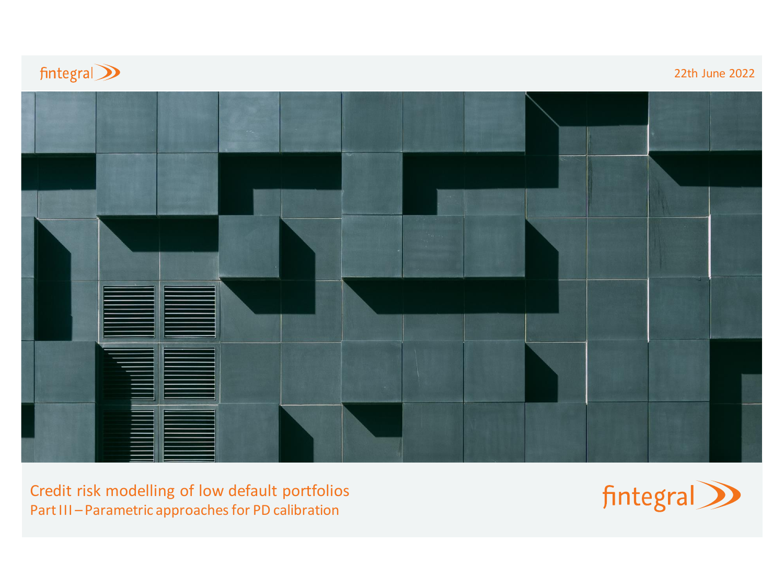

Credit risk modelling of low default portfolios Part III – Parametric approaches for PD calibration

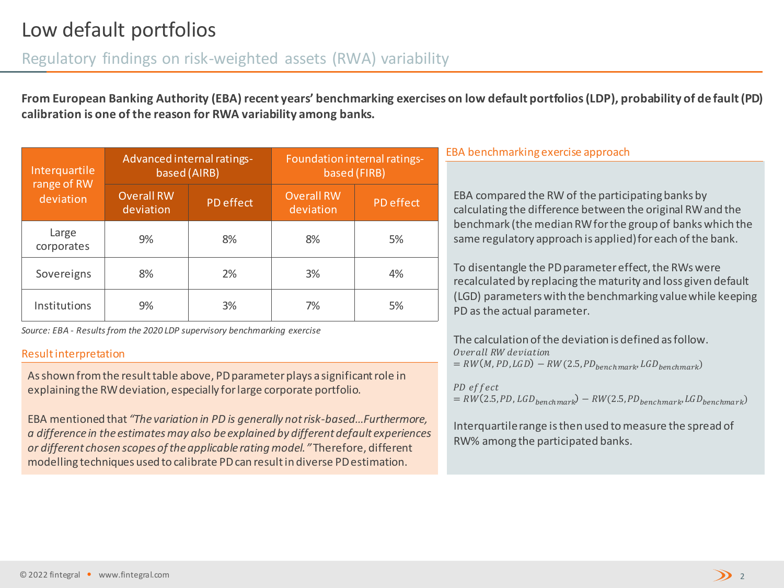### Regulatory findings on risk-weighted assets (RWA) variability

**From European Banking Authority (EBA) recent years' benchmarking exercises on low default portfolios (LDP), probability of de fault (PD) calibration is one of the reason for RWA variability among banks.** 

| Interquartile<br>range of RW<br>deviation | Advanced internal ratings-<br>based (AIRB) |           | Foundation internal ratings-<br>based (FIRB) |           |  |
|-------------------------------------------|--------------------------------------------|-----------|----------------------------------------------|-----------|--|
|                                           | <b>Overall RW</b><br>deviation             | PD effect | <b>Overall RW</b><br>deviation               | PD effect |  |
| Large<br>corporates                       | 9%                                         | 8%        | 8%                                           | 5%        |  |
| Sovereigns                                | 8%                                         | 2%        | 3%                                           | 4%        |  |
| Institutions                              | 9%                                         | 3%        | 7%                                           | 5%        |  |

*Source: EBA - Results from the 2020 LDP supervisory benchmarking exercise* 

#### Result interpretation

As shown from the result table above, PD parameter plays a significant role in explaining the RW deviation, especially for large corporate portfolio.

EBA mentioned that *"The variation in PD is generally not risk-based…Furthermore, a difference in the estimates may also be explained by different default experiences or different chosen scopes of the applicable rating model."* Therefore, different modelling techniques used to calibrate PD can result in diverse PD estimation.

#### EBA benchmarking exercise approach

EBA compared the RW of the participating banks by calculating the difference between the original RW and the benchmark (the median RW for the group of banks which the same regulatory approach is applied) for each of the bank.

To disentangle the PD parameter effect, the RWs were recalculated by replacing the maturity and loss given default (LGD) parameters with the benchmarking value while keeping PD as the actual parameter.

The calculation of the deviation is defined as follow. Overall RW deviation  $= RW(M, PD, LGD) - RW(2.5, PD_{benchmark}, LGD_{benchmark})$ 

PD effect  $= RW(2.5, PD, LGD_{benchmark}) - RW(2.5, PD_{benchmark}, LGD_{benchmark})$ 

Interquartile range is then used to measure the spread of RW% among the participated banks.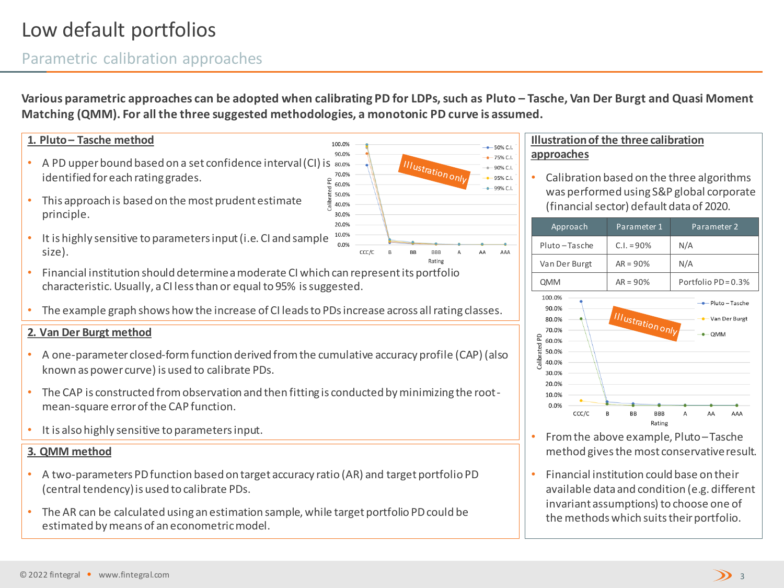# Low default portfolios

### Parametric calibration approaches

**Various parametric approaches can be adopted when calibrating PD for LDPs, such as Pluto – Tasche, Van Der Burgt and Quasi Moment Matching (QMM). For all the three suggested methodologies, a monotonic PD curve is assumed.** 

#### **1. Pluto – Tasche method**

- A PD upper bound based on a set confidence interval (CI) is  $_{80.0\%}$ identified for each rating grades.
- This approach is based on the most prudent estimate principle.
- It is highly sensitive to parameters input (i.e. CI and sample size).
- Financial institution should determine a moderate CI which can represent its portfolio characteristic. Usually, a CI less than or equal to 95% is suggested.
- The example graph shows how the increase of CI leads to PDs increase across all rating classes.

#### **2. Van Der Burgt method**

- A one-parameter closed-form function derived from the cumulative accuracy profile (CAP) (also known as power curve) is used to calibrate PDs.
- The CAP is constructed from observation and then fitting is conducted by minimizing the rootmean-square error of the CAP function.
- It is also highly sensitive to parameters input.

#### **3. QMM method**

- A two-parameters PD function based on target accuracy ratio (AR) and target portfolio PD (central tendency) is used to calibrate PDs.
- The AR can be calculated using an estimation sample, while target portfolio PD could be estimated by means of an econometric model.



#### **Illustration of the three calibration approaches**

• Calibration based on the three algorithms was performed using S&P global corporate (financial sector) default data of 2020.

| Approach                                                                                                 |       | Parameter 1              |                      | Parameter 2       |     |                                                         |
|----------------------------------------------------------------------------------------------------------|-------|--------------------------|----------------------|-------------------|-----|---------------------------------------------------------|
| Pluto-Tasche                                                                                             |       | $C.I. = 90\%$            |                      | N/A               |     |                                                         |
| Van Der Burgt                                                                                            |       | $AR = 90%$               |                      | N/A               |     |                                                         |
| QMM                                                                                                      |       | $AR = 90%$               |                      | Portfolio PD=0.3% |     |                                                         |
| 100.0%<br>90.0%<br>80.0%<br>70.0%<br>Calibrated PD<br>60.0%<br>50.0%<br>40.0%<br>30.0%<br>20.0%<br>10.0% |       | <b>Illustration only</b> |                      |                   | QMM | $\blacktriangleright$ Pluto – Tasche<br>- Van Der Burgt |
| 0.0%                                                                                                     | CCC/C | B<br>BB                  | <b>BBB</b><br>Rating | А                 | AA  | AAA                                                     |

- From the above example, Pluto –Tasche method gives the most conservative result.
- Financial institution could base on their available data and condition (e.g. different invariant assumptions) to choose one of the methods which suits their portfolio.